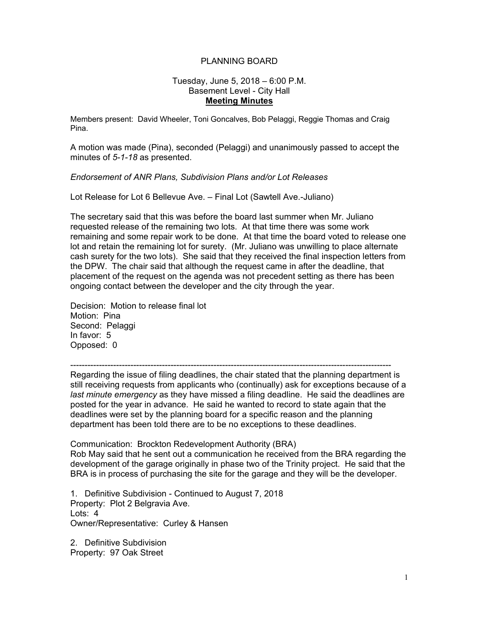## PLANNING BOARD

## Tuesday, June 5, 2018 – 6:00 P.M. Basement Level - City Hall **Meeting Minutes**

Members present: David Wheeler, Toni Goncalves, Bob Pelaggi, Reggie Thomas and Craig Pina.

A motion was made (Pina), seconded (Pelaggi) and unanimously passed to accept the minutes of *5-1-18* as presented.

## *Endorsement of ANR Plans, Subdivision Plans and/or Lot Releases*

Lot Release for Lot 6 Bellevue Ave. – Final Lot (Sawtell Ave.-Juliano)

The secretary said that this was before the board last summer when Mr. Juliano requested release of the remaining two lots. At that time there was some work remaining and some repair work to be done. At that time the board voted to release one lot and retain the remaining lot for surety. (Mr. Juliano was unwilling to place alternate cash surety for the two lots). She said that they received the final inspection letters from the DPW. The chair said that although the request came in after the deadline, that placement of the request on the agenda was not precedent setting as there has been ongoing contact between the developer and the city through the year.

Decision: Motion to release final lot Motion: Pina Second: Pelaggi In favor: 5 Opposed: 0

----------------------------------------------------------------------------------------------------------------

Regarding the issue of filing deadlines, the chair stated that the planning department is still receiving requests from applicants who (continually) ask for exceptions because of a *last minute emergency* as they have missed a filing deadline. He said the deadlines are posted for the year in advance. He said he wanted to record to state again that the deadlines were set by the planning board for a specific reason and the planning department has been told there are to be no exceptions to these deadlines.

Communication: Brockton Redevelopment Authority (BRA) Rob May said that he sent out a communication he received from the BRA regarding the development of the garage originally in phase two of the Trinity project. He said that the BRA is in process of purchasing the site for the garage and they will be the developer.

 Owner/Representative: Curley & Hansen 1. Definitive Subdivision - Continued to August 7, 2018 Property: Plot 2 Belgravia Ave. Lots: 4

2. Definitive Subdivision Property: 97 Oak Street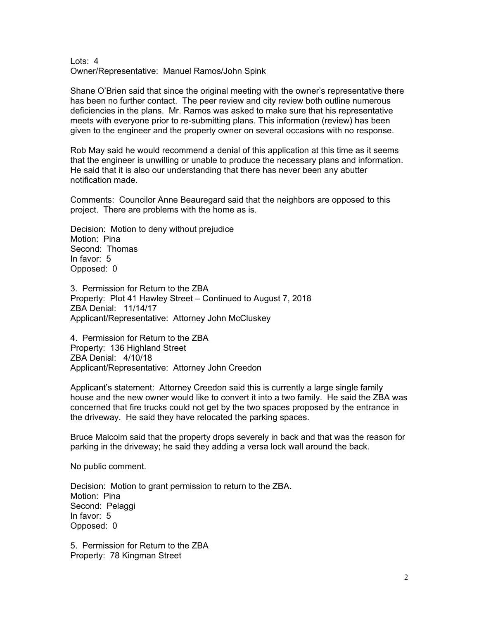Owner/Representative: Manuel Ramos/John Spink Lots: 4

given to the engineer and the property owner on several occasions with no response. Shane O'Brien said that since the original meeting with the owner's representative there has been no further contact. The peer review and city review both outline numerous deficiencies in the plans. Mr. Ramos was asked to make sure that his representative meets with everyone prior to re-submitting plans. This information (review) has been

Rob May said he would recommend a denial of this application at this time as it seems that the engineer is unwilling or unable to produce the necessary plans and information. He said that it is also our understanding that there has never been any abutter notification made.

Comments: Councilor Anne Beauregard said that the neighbors are opposed to this project. There are problems with the home as is.

Decision: Motion to deny without prejudice Motion: Pina Second: Thomas In favor: 5 Opposed: 0

3. Permission for Return to the ZBA Property: Plot 41 Hawley Street – Continued to August 7, 2018 ZBA Denial: 11/14/17 Applicant/Representative: Attorney John McCluskey

4. Permission for Return to the ZBA Property: 136 Highland Street ZBA Denial: 4/10/18 Applicant/Representative: Attorney John Creedon

Applicant's statement: Attorney Creedon said this is currently a large single family house and the new owner would like to convert it into a two family. He said the ZBA was concerned that fire trucks could not get by the two spaces proposed by the entrance in the driveway. He said they have relocated the parking spaces.

Bruce Malcolm said that the property drops severely in back and that was the reason for parking in the driveway; he said they adding a versa lock wall around the back.

No public comment.

Decision: Motion to grant permission to return to the ZBA. Motion: Pina Second: Pelaggi In favor: 5 Opposed: 0

5. Permission for Return to the ZBA Property: 78 Kingman Street